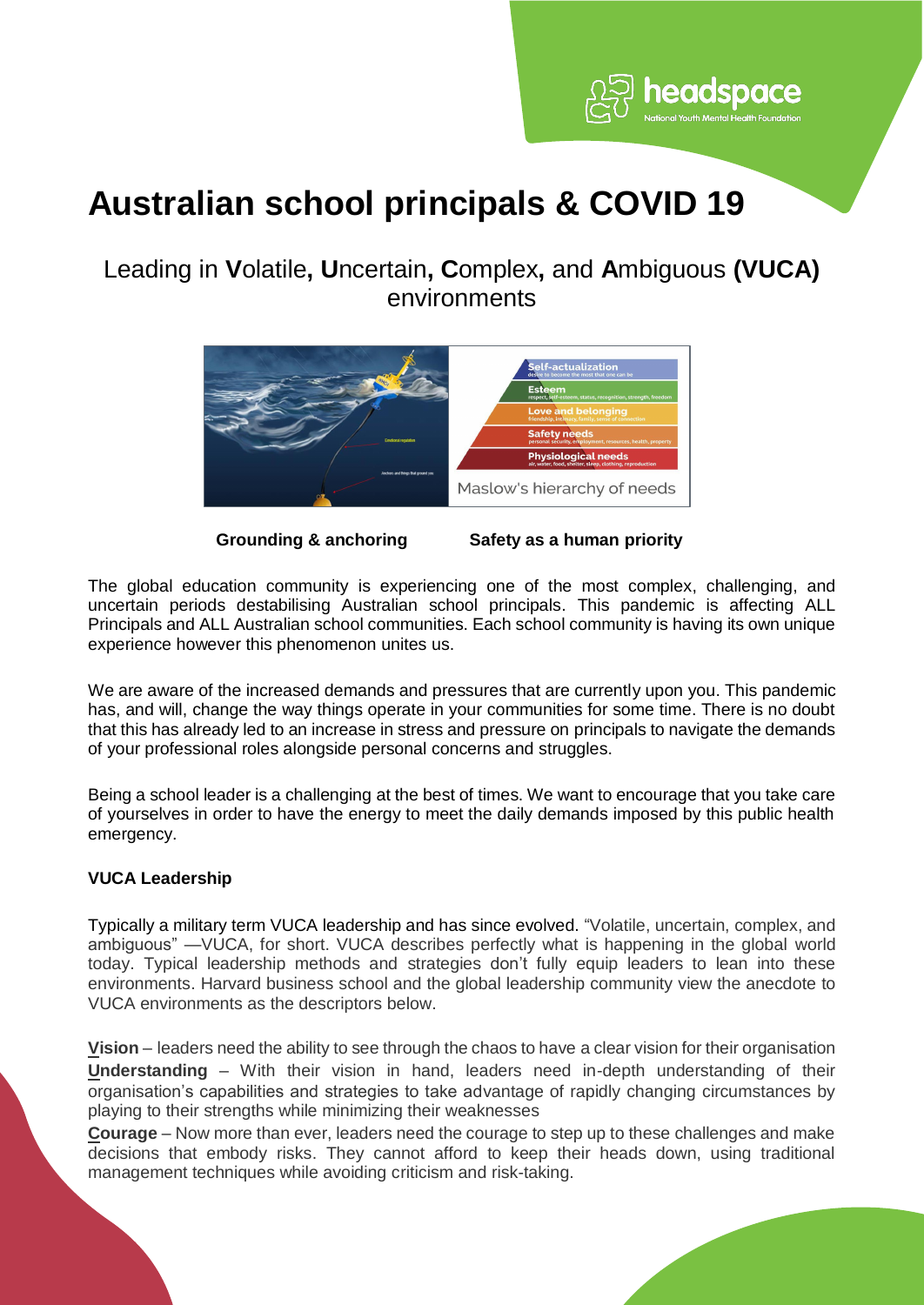

# **Australian school principals & COVID 19**

## Leading in **V**olatile**, U**ncertain**, C**omplex**,** and **A**mbiguous **(VUCA)** environments



**Grounding & anchoring Safety as a human priority**

The global education community is experiencing one of the most complex, challenging, and uncertain periods destabilising Australian school principals. This pandemic is affecting ALL Principals and ALL Australian school communities. Each school community is having its own unique experience however this phenomenon unites us.

We are aware of the increased demands and pressures that are currently upon you. This pandemic has, and will, change the way things operate in your communities for some time. There is no doubt that this has already led to an increase in stress and pressure on principals to navigate the demands of your professional roles alongside personal concerns and struggles.

Being a school leader is a challenging at the best of times. We want to encourage that you take care of yourselves in order to have the energy to meet the daily demands imposed by this public health emergency.

### **VUCA Leadership**

Typically a military term VUCA leadership and has since evolved. "Volatile, uncertain, complex, and ambiguous" —VUCA, for short. VUCA describes perfectly what is happening in the global world today. Typical leadership methods and strategies don't fully equip leaders to lean into these environments. Harvard business school and the global leadership community view the anecdote to VUCA environments as the descriptors below.

**Vision** – leaders need the ability to see through the chaos to have a clear vision for their organisation **Understanding** – With their vision in hand, leaders need in-depth understanding of their organisation's capabilities and strategies to take advantage of rapidly changing circumstances by playing to their strengths while minimizing their weaknesses

**Courage** – Now more than ever, leaders need the courage to step up to these challenges and make decisions that embody risks. They cannot afford to keep their heads down, using traditional management techniques while avoiding criticism and risk-taking.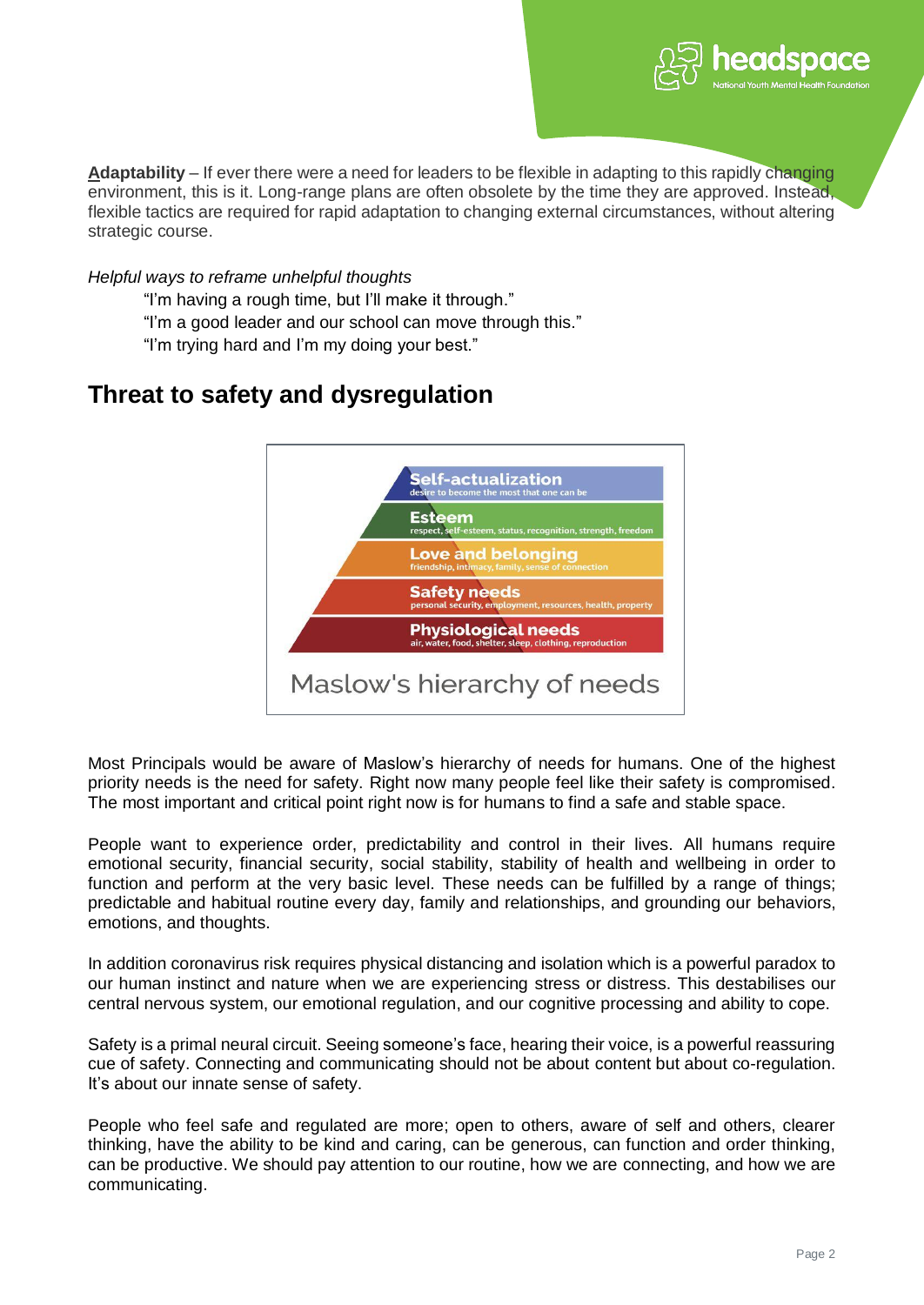

**Adaptability** – If ever there were a need for leaders to be flexible in adapting to this rapidly changing environment, this is it. Long-range plans are often obsolete by the time they are approved. Instead, flexible tactics are required for rapid adaptation to changing external circumstances, without altering strategic course.

*Helpful ways to reframe unhelpful thoughts*

"I'm having a rough time, but I'll make it through."

"I'm a good leader and our school can move through this."

"I'm trying hard and I'm my doing your best."

# **Threat to safety and dysregulation**



Most Principals would be aware of Maslow's hierarchy of needs for humans. One of the highest priority needs is the need for safety. Right now many people feel like their safety is compromised. The most important and critical point right now is for humans to find a safe and stable space.

People want to experience order, predictability and control in their lives. All humans require emotional security, financial security, social stability, stability of health and wellbeing in order to function and perform at the very basic level. These needs can be fulfilled by a range of things; predictable and habitual routine every day, family and relationships, and grounding our behaviors, emotions, and thoughts.

In addition coronavirus risk requires physical distancing and isolation which is a powerful paradox to our human instinct and nature when we are experiencing stress or distress. This destabilises our central nervous system, our emotional regulation, and our cognitive processing and ability to cope.

Safety is a primal neural circuit. Seeing someone's face, hearing their voice, is a powerful reassuring cue of safety. Connecting and communicating should not be about content but about co-regulation. It's about our innate sense of safety.

People who feel safe and regulated are more; open to others, aware of self and others, clearer thinking, have the ability to be kind and caring, can be generous, can function and order thinking, can be productive. We should pay attention to our routine, how we are connecting, and how we are communicating.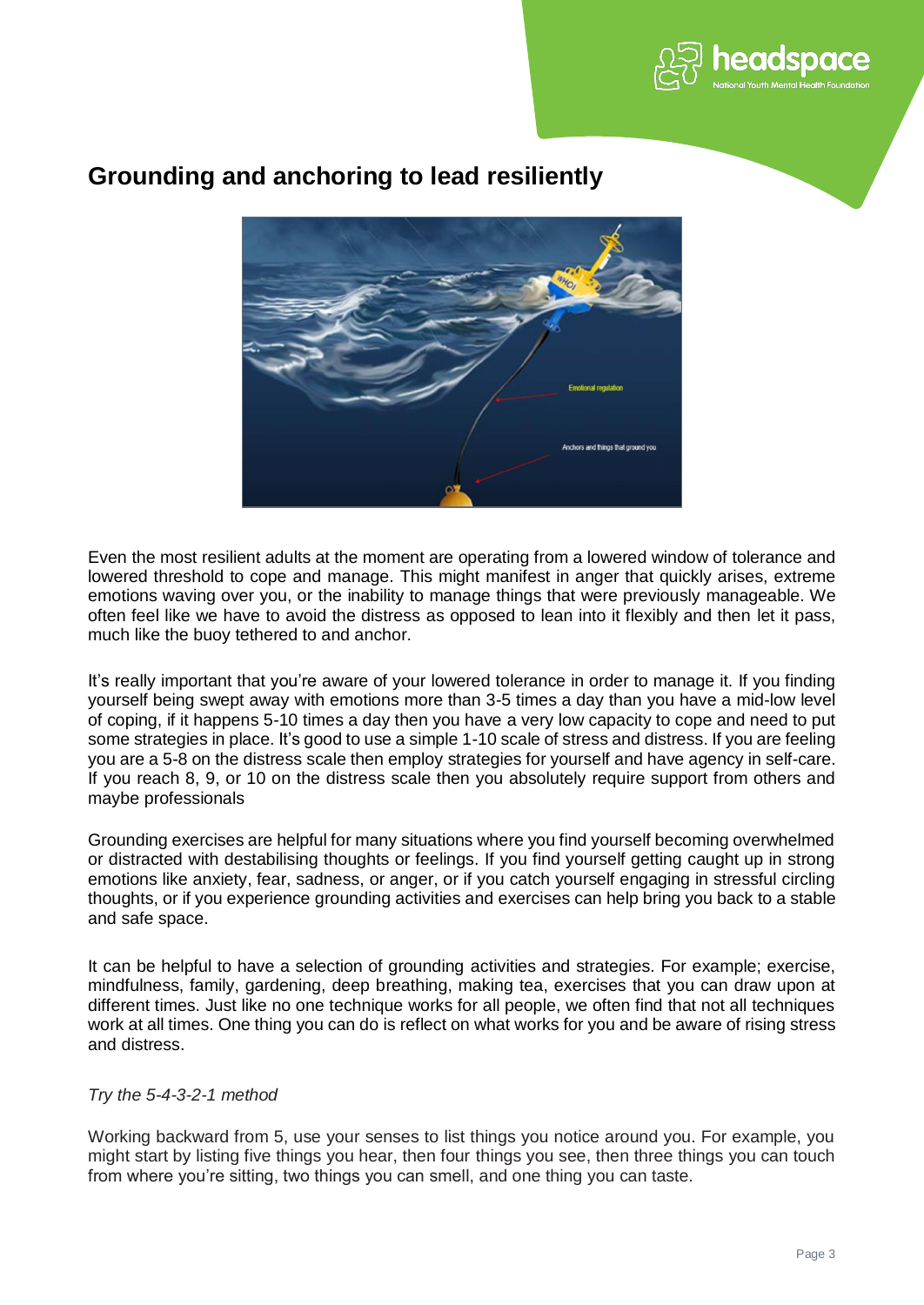



### **Grounding and anchoring to lead resiliently**

Even the most resilient adults at the moment are operating from a lowered window of tolerance and lowered threshold to cope and manage. This might manifest in anger that quickly arises, extreme emotions waving over you, or the inability to manage things that were previously manageable. We often feel like we have to avoid the distress as opposed to lean into it flexibly and then let it pass, much like the buoy tethered to and anchor.

It's really important that you're aware of your lowered tolerance in order to manage it. If you finding yourself being swept away with emotions more than 3-5 times a day than you have a mid-low level of coping, if it happens 5-10 times a day then you have a very low capacity to cope and need to put some strategies in place. It's good to use a simple 1-10 scale of stress and distress. If you are feeling you are a 5-8 on the distress scale then employ strategies for yourself and have agency in self-care. If you reach 8, 9, or 10 on the distress scale then you absolutely require support from others and maybe professionals

Grounding exercises are helpful for many situations where you find yourself becoming overwhelmed or distracted with destabilising thoughts or feelings. If you find yourself getting caught up in strong emotions like anxiety, fear, sadness, or anger, or if you catch yourself engaging in stressful circling thoughts, or if you experience grounding activities and exercises can help bring you back to a stable and safe space.

It can be helpful to have a selection of grounding activities and strategies. For example; exercise, mindfulness, family, gardening, deep breathing, making tea, exercises that you can draw upon at different times. Just like no one technique works for all people, we often find that not all techniques work at all times. One thing you can do is reflect on what works for you and be aware of rising stress and distress.

### *Try the 5-4-3-2-1 method*

Working backward from 5, use your senses to list things you notice around you. For example, you might start by listing five things you hear, then four things you see, then three things you can touch from where you're sitting, two things you can smell, and one thing you can taste.